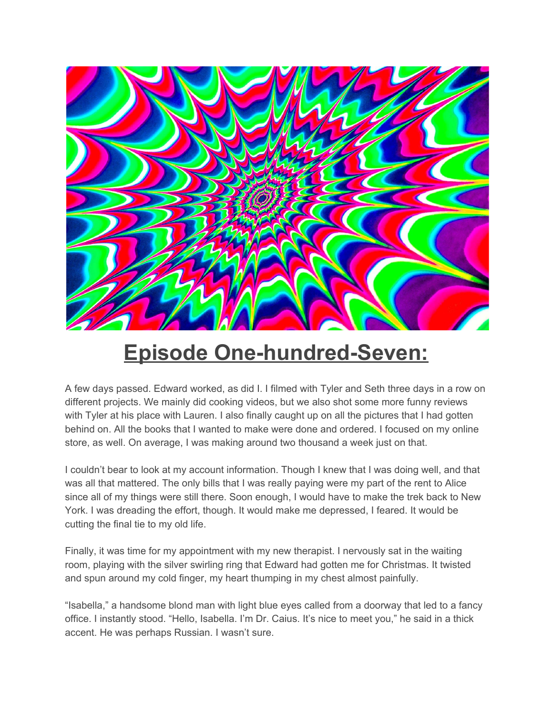

## **Episode One-hundred-Seven:**

A few days passed. Edward worked, as did I. I filmed with Tyler and Seth three days in a row on different projects. We mainly did cooking videos, but we also shot some more funny reviews with Tyler at his place with Lauren. I also finally caught up on all the pictures that I had gotten behind on. All the books that I wanted to make were done and ordered. I focused on my online store, as well. On average, I was making around two thousand a week just on that.

I couldn't bear to look at my account information. Though I knew that I was doing well, and that was all that mattered. The only bills that I was really paying were my part of the rent to Alice since all of my things were still there. Soon enough, I would have to make the trek back to New York. I was dreading the effort, though. It would make me depressed, I feared. It would be cutting the final tie to my old life.

Finally, it was time for my appointment with my new therapist. I nervously sat in the waiting room, playing with the silver swirling ring that Edward had gotten me for Christmas. It twisted and spun around my cold finger, my heart thumping in my chest almost painfully.

"Isabella," a handsome blond man with light blue eyes called from a doorway that led to a fancy office. I instantly stood. "Hello, Isabella. I'm Dr. Caius. It's nice to meet you," he said in a thick accent. He was perhaps Russian. I wasn't sure.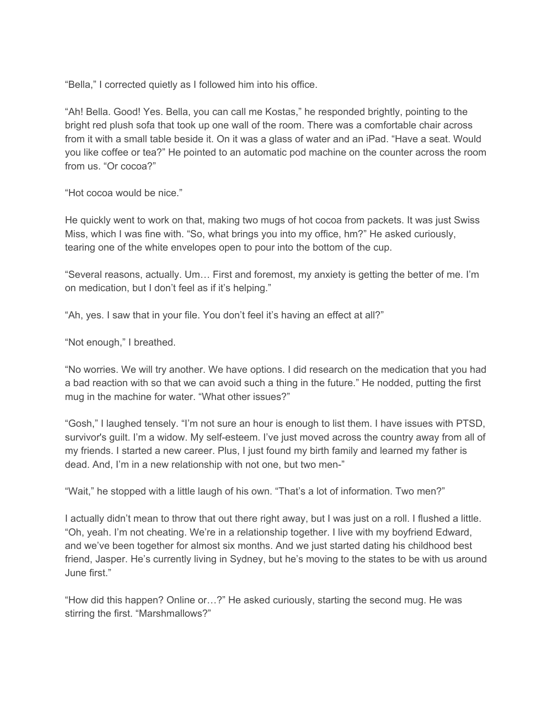"Bella," I corrected quietly as I followed him into his office.

"Ah! Bella. Good! Yes. Bella, you can call me Kostas," he responded brightly, pointing to the bright red plush sofa that took up one wall of the room. There was a comfortable chair across from it with a small table beside it. On it was a glass of water and an iPad. "Have a seat. Would you like coffee or tea?" He pointed to an automatic pod machine on the counter across the room from us. "Or cocoa?"

"Hot cocoa would be nice."

He quickly went to work on that, making two mugs of hot cocoa from packets. It was just Swiss Miss, which I was fine with. "So, what brings you into my office, hm?" He asked curiously, tearing one of the white envelopes open to pour into the bottom of the cup.

"Several reasons, actually. Um… First and foremost, my anxiety is getting the better of me. I'm on medication, but I don't feel as if it's helping."

"Ah, yes. I saw that in your file. You don't feel it's having an effect at all?"

"Not enough," I breathed.

"No worries. We will try another. We have options. I did research on the medication that you had a bad reaction with so that we can avoid such a thing in the future." He nodded, putting the first mug in the machine for water. "What other issues?"

"Gosh," I laughed tensely. "I'm not sure an hour is enough to list them. I have issues with PTSD, survivor's guilt. I'm a widow. My self-esteem. I've just moved across the country away from all of my friends. I started a new career. Plus, I just found my birth family and learned my father is dead. And, I'm in a new relationship with not one, but two men-"

"Wait," he stopped with a little laugh of his own. "That's a lot of information. Two men?"

I actually didn't mean to throw that out there right away, but I was just on a roll. I flushed a little. "Oh, yeah. I'm not cheating. We're in a relationship together. I live with my boyfriend Edward, and we've been together for almost six months. And we just started dating his childhood best friend, Jasper. He's currently living in Sydney, but he's moving to the states to be with us around June first."

"How did this happen? Online or…?" He asked curiously, starting the second mug. He was stirring the first. "Marshmallows?"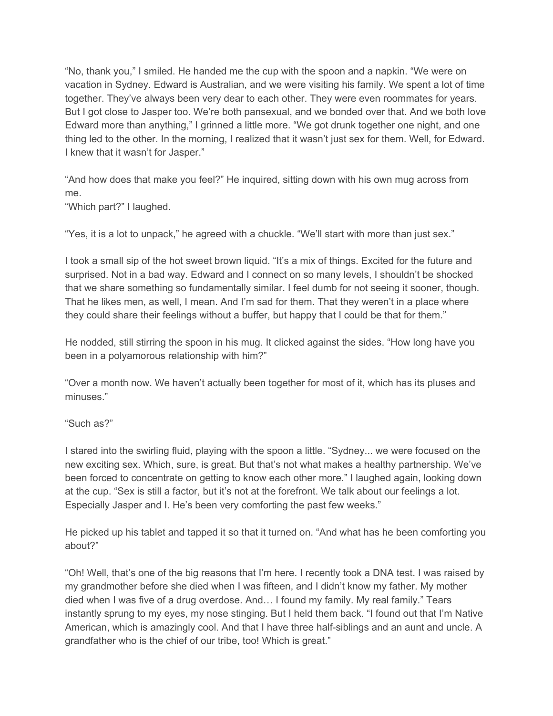"No, thank you," I smiled. He handed me the cup with the spoon and a napkin. "We were on vacation in Sydney. Edward is Australian, and we were visiting his family. We spent a lot of time together. They've always been very dear to each other. They were even roommates for years. But I got close to Jasper too. We're both pansexual, and we bonded over that. And we both love Edward more than anything," I grinned a little more. "We got drunk together one night, and one thing led to the other. In the morning, I realized that it wasn't just sex for them. Well, for Edward. I knew that it wasn't for Jasper."

"And how does that make you feel?" He inquired, sitting down with his own mug across from me.

"Which part?" I laughed.

"Yes, it is a lot to unpack," he agreed with a chuckle. "We'll start with more than just sex."

I took a small sip of the hot sweet brown liquid. "It's a mix of things. Excited for the future and surprised. Not in a bad way. Edward and I connect on so many levels, I shouldn't be shocked that we share something so fundamentally similar. I feel dumb for not seeing it sooner, though. That he likes men, as well, I mean. And I'm sad for them. That they weren't in a place where they could share their feelings without a buffer, but happy that I could be that for them."

He nodded, still stirring the spoon in his mug. It clicked against the sides. "How long have you been in a polyamorous relationship with him?"

"Over a month now. We haven't actually been together for most of it, which has its pluses and minuses."

## "Such as?"

I stared into the swirling fluid, playing with the spoon a little. "Sydney... we were focused on the new exciting sex. Which, sure, is great. But that's not what makes a healthy partnership. We've been forced to concentrate on getting to know each other more." I laughed again, looking down at the cup. "Sex is still a factor, but it's not at the forefront. We talk about our feelings a lot. Especially Jasper and I. He's been very comforting the past few weeks."

He picked up his tablet and tapped it so that it turned on. "And what has he been comforting you about?"

"Oh! Well, that's one of the big reasons that I'm here. I recently took a DNA test. I was raised by my grandmother before she died when I was fifteen, and I didn't know my father. My mother died when I was five of a drug overdose. And… I found my family. My real family." Tears instantly sprung to my eyes, my nose stinging. But I held them back. "I found out that I'm Native American, which is amazingly cool. And that I have three half-siblings and an aunt and uncle. A grandfather who is the chief of our tribe, too! Which is great."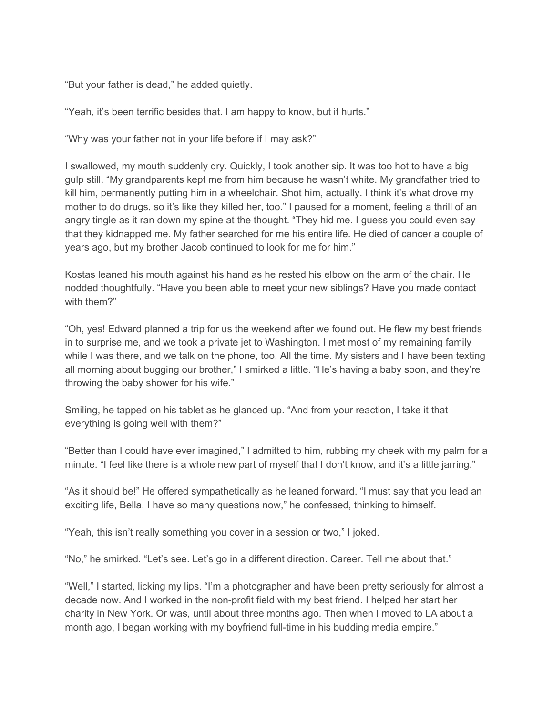"But your father is dead," he added quietly.

"Yeah, it's been terrific besides that. I am happy to know, but it hurts."

"Why was your father not in your life before if I may ask?"

I swallowed, my mouth suddenly dry. Quickly, I took another sip. It was too hot to have a big gulp still. "My grandparents kept me from him because he wasn't white. My grandfather tried to kill him, permanently putting him in a wheelchair. Shot him, actually. I think it's what drove my mother to do drugs, so it's like they killed her, too." I paused for a moment, feeling a thrill of an angry tingle as it ran down my spine at the thought. "They hid me. I guess you could even say that they kidnapped me. My father searched for me his entire life. He died of cancer a couple of years ago, but my brother Jacob continued to look for me for him."

Kostas leaned his mouth against his hand as he rested his elbow on the arm of the chair. He nodded thoughtfully. "Have you been able to meet your new siblings? Have you made contact with them?"

"Oh, yes! Edward planned a trip for us the weekend after we found out. He flew my best friends in to surprise me, and we took a private jet to Washington. I met most of my remaining family while I was there, and we talk on the phone, too. All the time. My sisters and I have been texting all morning about bugging our brother," I smirked a little. "He's having a baby soon, and they're throwing the baby shower for his wife."

Smiling, he tapped on his tablet as he glanced up. "And from your reaction, I take it that everything is going well with them?"

"Better than I could have ever imagined," I admitted to him, rubbing my cheek with my palm for a minute. "I feel like there is a whole new part of myself that I don't know, and it's a little jarring."

"As it should be!" He offered sympathetically as he leaned forward. "I must say that you lead an exciting life, Bella. I have so many questions now," he confessed, thinking to himself.

"Yeah, this isn't really something you cover in a session or two," I joked.

"No," he smirked. "Let's see. Let's go in a different direction. Career. Tell me about that."

"Well," I started, licking my lips. "I'm a photographer and have been pretty seriously for almost a decade now. And I worked in the non-profit field with my best friend. I helped her start her charity in New York. Or was, until about three months ago. Then when I moved to LA about a month ago, I began working with my boyfriend full-time in his budding media empire."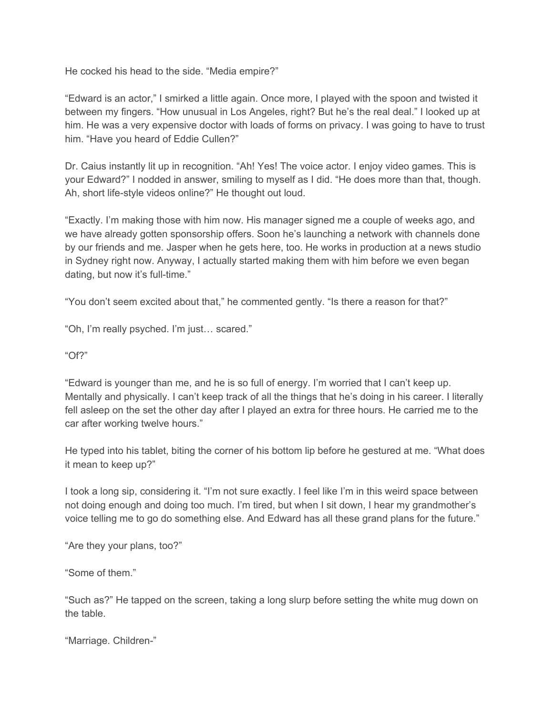He cocked his head to the side. "Media empire?"

"Edward is an actor," I smirked a little again. Once more, I played with the spoon and twisted it between my fingers. "How unusual in Los Angeles, right? But he's the real deal." I looked up at him. He was a very expensive doctor with loads of forms on privacy. I was going to have to trust him. "Have you heard of Eddie Cullen?"

Dr. Caius instantly lit up in recognition. "Ah! Yes! The voice actor. I enjoy video games. This is your Edward?" I nodded in answer, smiling to myself as I did. "He does more than that, though. Ah, short life-style videos online?" He thought out loud.

"Exactly. I'm making those with him now. His manager signed me a couple of weeks ago, and we have already gotten sponsorship offers. Soon he's launching a network with channels done by our friends and me. Jasper when he gets here, too. He works in production at a news studio in Sydney right now. Anyway, I actually started making them with him before we even began dating, but now it's full-time."

"You don't seem excited about that," he commented gently. "Is there a reason for that?"

"Oh, I'm really psyched. I'm just… scared."

"Of?"

"Edward is younger than me, and he is so full of energy. I'm worried that I can't keep up. Mentally and physically. I can't keep track of all the things that he's doing in his career. I literally fell asleep on the set the other day after I played an extra for three hours. He carried me to the car after working twelve hours."

He typed into his tablet, biting the corner of his bottom lip before he gestured at me. "What does it mean to keep up?"

I took a long sip, considering it. "I'm not sure exactly. I feel like I'm in this weird space between not doing enough and doing too much. I'm tired, but when I sit down, I hear my grandmother's voice telling me to go do something else. And Edward has all these grand plans for the future."

"Are they your plans, too?"

"Some of them."

"Such as?" He tapped on the screen, taking a long slurp before setting the white mug down on the table.

"Marriage. Children-"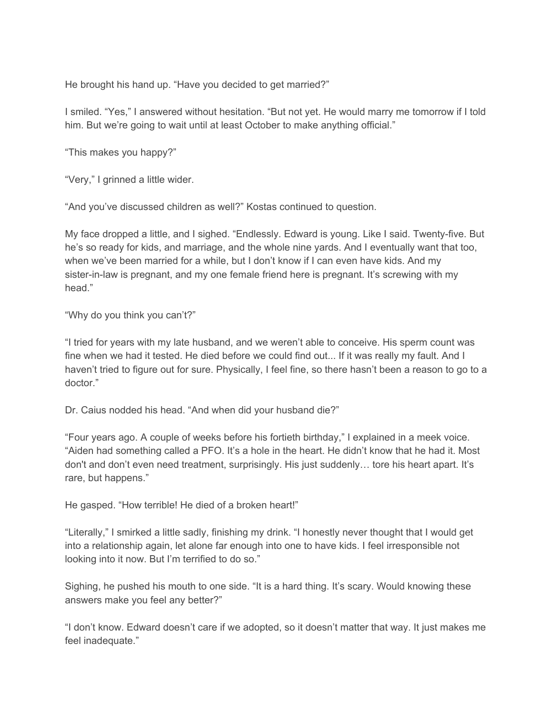He brought his hand up. "Have you decided to get married?"

I smiled. "Yes," I answered without hesitation. "But not yet. He would marry me tomorrow if I told him. But we're going to wait until at least October to make anything official."

"This makes you happy?"

"Very," I grinned a little wider.

"And you've discussed children as well?" Kostas continued to question.

My face dropped a little, and I sighed. "Endlessly. Edward is young. Like I said. Twenty-five. But he's so ready for kids, and marriage, and the whole nine yards. And I eventually want that too, when we've been married for a while, but I don't know if I can even have kids. And my sister-in-law is pregnant, and my one female friend here is pregnant. It's screwing with my head."

"Why do you think you can't?"

"I tried for years with my late husband, and we weren't able to conceive. His sperm count was fine when we had it tested. He died before we could find out... If it was really my fault. And I haven't tried to figure out for sure. Physically, I feel fine, so there hasn't been a reason to go to a doctor."

Dr. Caius nodded his head. "And when did your husband die?"

"Four years ago. A couple of weeks before his fortieth birthday," I explained in a meek voice. "Aiden had something called a PFO. It's a hole in the heart. He didn't know that he had it. Most don't and don't even need treatment, surprisingly. His just suddenly… tore his heart apart. It's rare, but happens."

He gasped. "How terrible! He died of a broken heart!"

"Literally," I smirked a little sadly, finishing my drink. "I honestly never thought that I would get into a relationship again, let alone far enough into one to have kids. I feel irresponsible not looking into it now. But I'm terrified to do so."

Sighing, he pushed his mouth to one side. "It is a hard thing. It's scary. Would knowing these answers make you feel any better?"

"I don't know. Edward doesn't care if we adopted, so it doesn't matter that way. It just makes me feel inadequate."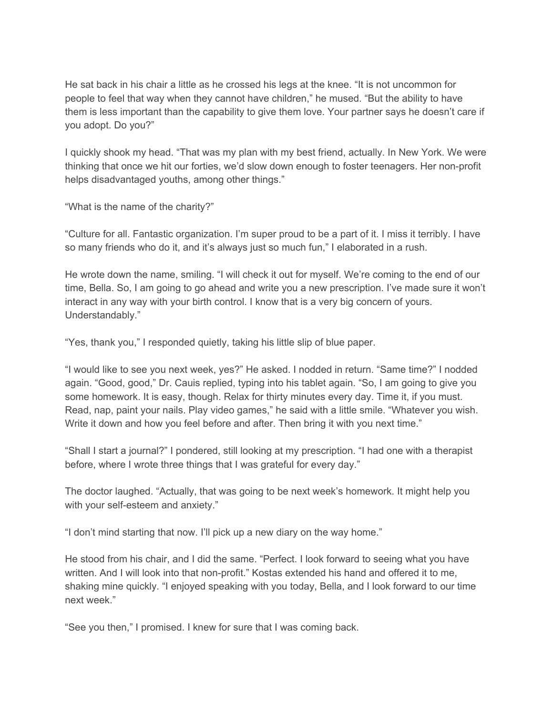He sat back in his chair a little as he crossed his legs at the knee. "It is not uncommon for people to feel that way when they cannot have children," he mused. "But the ability to have them is less important than the capability to give them love. Your partner says he doesn't care if you adopt. Do you?"

I quickly shook my head. "That was my plan with my best friend, actually. In New York. We were thinking that once we hit our forties, we'd slow down enough to foster teenagers. Her non-profit helps disadvantaged youths, among other things."

"What is the name of the charity?"

"Culture for all. Fantastic organization. I'm super proud to be a part of it. I miss it terribly. I have so many friends who do it, and it's always just so much fun," I elaborated in a rush.

He wrote down the name, smiling. "I will check it out for myself. We're coming to the end of our time, Bella. So, I am going to go ahead and write you a new prescription. I've made sure it won't interact in any way with your birth control. I know that is a very big concern of yours. Understandably."

"Yes, thank you," I responded quietly, taking his little slip of blue paper.

"I would like to see you next week, yes?" He asked. I nodded in return. "Same time?" I nodded again. "Good, good," Dr. Cauis replied, typing into his tablet again. "So, I am going to give you some homework. It is easy, though. Relax for thirty minutes every day. Time it, if you must. Read, nap, paint your nails. Play video games," he said with a little smile. "Whatever you wish. Write it down and how you feel before and after. Then bring it with you next time."

"Shall I start a journal?" I pondered, still looking at my prescription. "I had one with a therapist before, where I wrote three things that I was grateful for every day."

The doctor laughed. "Actually, that was going to be next week's homework. It might help you with your self-esteem and anxiety."

"I don't mind starting that now. I'll pick up a new diary on the way home."

He stood from his chair, and I did the same. "Perfect. I look forward to seeing what you have written. And I will look into that non-profit." Kostas extended his hand and offered it to me, shaking mine quickly. "I enjoyed speaking with you today, Bella, and I look forward to our time next week."

"See you then," I promised. I knew for sure that I was coming back.